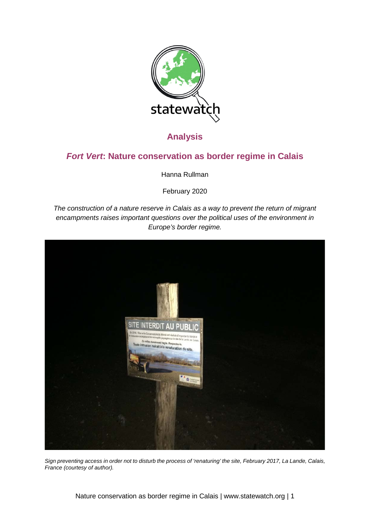

# **Analysis**

## *Fort Vert***: Nature conservation as border regime in Calais**

Hanna Rullman

February 2020

*The construction of a nature reserve in Calais as a way to prevent the return of migrant encampments raises important questions over the political uses of the environment in Europe's border regime.*



*Sign preventing access in order not to disturb the process of 'renaturing' the site, February 2017, La Lande, Calais, France (courtesy of author).*

Nature conservation as border regime in Calais | www.statewatch.org | 1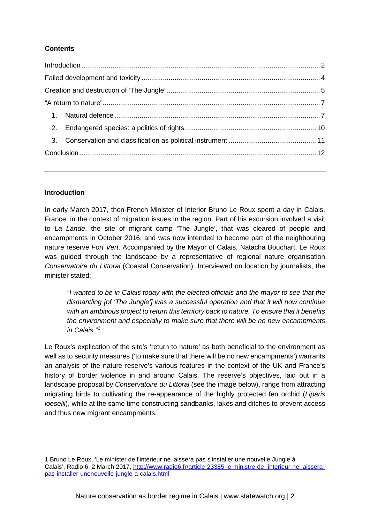## **Contents**

### **Introduction**

-

In early March 2017, then-French Minister of Interior Bruno Le Roux spent a day in Calais, France, in the context of migration issues in the region. Part of his excursion involved a visit to *La Lande*, the site of migrant camp 'The Jungle', that was cleared of people and encampments in October 2016, and was now intended to become part of the neighbouring nature reserve *Fort Vert*. Accompanied by the Mayor of Calais, Natacha Bouchart, Le Roux was guided through the landscape by a representative of regional nature organisation *Conservatoire du Littoral* (Coastal Conservation). Interviewed on location by journalists, the minister stated:

*"I wanted to be in Calais today with the elected officials and the mayor to see that the dismantling [of 'The Jungle'] was a successful operation and that it will now continue with an ambitious project to return this territory back to nature. To ensure that it benefits the environment and especially to make sure that there will be no new encampments in Calais."<sup>1</sup>*

Le Roux's explication of the site's 'return to nature' as both beneficial to the environment as well as to security measures ('to make sure that there will be no new encampments') warrants an analysis of the nature reserve's various features in the context of the UK and France's history of border violence in and around Calais. The reserve's objectives, laid out in a landscape proposal by *Conservatoire du Littoral* (see the image below), range from attracting migrating birds to cultivating the re-appearance of the highly protected fen orchid (*Liparis loeselii*), while at the same time constructing sandbanks, lakes and ditches to prevent access and thus new migrant encampments.

<sup>1</sup> Bruno Le Roux, 'Le minister de l'intérieur ne laissera pas s'installer une nouvelle Jungle à Calais', Radio 6, 2 March 2017, http://www.radio6.fr/article-23385-le-ministre-de- interieur-ne-laisserapas-installer-unenouvelle-jungle-a-calais.html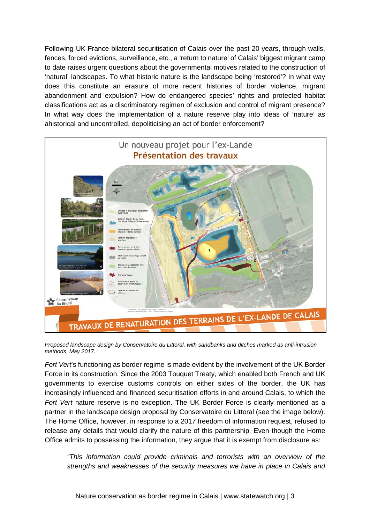Following UK-France bilateral securitisation of Calais over the past 20 years, through walls, fences, forced evictions, surveillance, etc., a 'return to nature' of Calais' biggest migrant camp to date raises urgent questions about the governmental motives related to the construction of 'natural' landscapes. To what historic nature is the landscape being 'restored'? In what way does this constitute an erasure of more recent histories of border violence, migrant abandonment and expulsion? How do endangered species' rights and protected habitat classifications act as a discriminatory regimen of exclusion and control of migrant presence? In what way does the implementation of a nature reserve play into ideas of 'nature' as ahistorical and uncontrolled, depoliticising an act of border enforcement?



*Proposed landscape design by Conservatoire du Littoral, with sandbanks and ditches marked as anti-intrusion methods, May 2017.*

*Fort Vert*'s functioning as border regime is made evident by the involvement of the UK Border Force in its construction. Since the 2003 Touquet Treaty, which enabled both French and UK governments to exercise customs controls on either sides of the border, the UK has increasingly influenced and financed securitisation efforts in and around Calais, to which the *Fort Vert* nature reserve is no exception. The UK Border Force is clearly mentioned as a partner in the landscape design proposal by Conservatoire du Littoral (see the image below). The Home Office, however, in response to a 2017 freedom of information request, refused to release any details that would clarify the nature of this partnership. Even though the Home Office admits to possessing the information, they argue that it is exempt from disclosure as:

*"This information could provide criminals and terrorists with an overview of the strengths and weaknesses of the security measures we have in place in Calais and*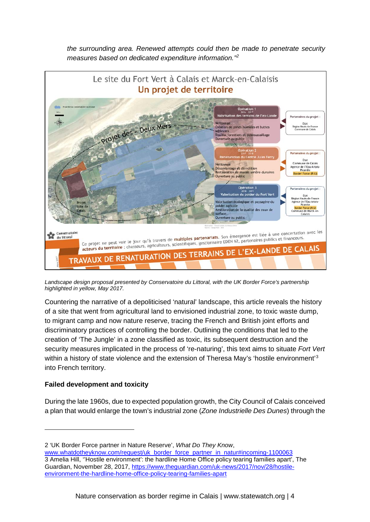*the surrounding area. Renewed attempts could then be made to penetrate security measures based on dedicated expenditure information."<sup>2</sup>*



Landscape design proposal presented by Conservatoire du Littoral, with the UK Border Force's partnership *highlighted in yellow, May 2017.*

Countering the narrative of a depoliticised 'natural' landscape, this article reveals the history of a site that went from agricultural land to envisioned industrial zone, to toxic waste dump, to migrant camp and now nature reserve, tracing the French and British joint efforts and discriminatory practices of controlling the border. Outlining the conditions that led to the creation of 'The Jungle' in a zone classified as toxic, its subsequent destruction and the security measures implicated in the process of 're-naturing', this text aims to situate *Fort Vert* within a history of state violence and the extension of Theresa May's 'hostile environment'<sup>3</sup> into French territory.

### **Failed development and toxicity**

-

During the late 1960s, due to expected population growth, the City Council of Calais conceived a plan that would enlarge the town's industrial zone (*Zone Industrielle Des Dunes*) through the

<sup>2 &#</sup>x27;UK Border Force partner in Nature Reserve', *What Do They Know*,

www.whatdotheyknow.com/request/uk border force partner in natur#incoming-1100063 3 Amelia Hill, ''Hostile environment': the hardline Home Office policy tearing families apart', The Guardian, November 28, 2017, https://www.theguardian.com/uk-news/2017/nov/28/hostileenvironment-the-hardline-home-office-policy-tearing-families-apart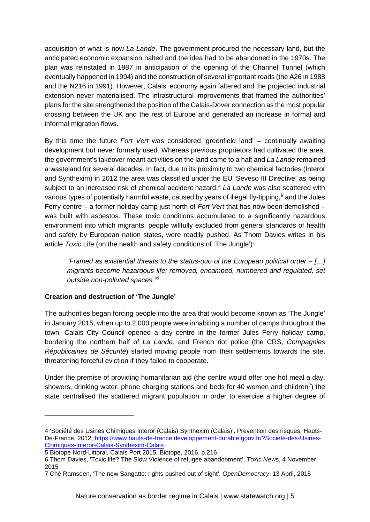acquisition of what is now *La Lande*. The government procured the necessary land, but the anticipated economic expansion halted and the idea had to be abandoned in the 1970s. The plan was reinstated in 1987 in anticipation of the opening of the Channel Tunnel (which eventually happened in 1994) and the construction of several important roads (the A26 in 1988 and the N216 in 1991). However, Calais' economy again faltered and the projected industrial extension never materialised. The infrastructural improvements that framed the authorities' plans for the site strengthened the position of the Calais-Dover connection as the most popular crossing between the UK and the rest of Europe and generated an increase in formal and informal migration flows.

By this time the future *Fort Vert* was considered 'greenfield land' – continually awaiting development but never formally used. Whereas previous proprietors had cultivated the area, the government's takeover meant activities on the land came to a halt and *La Lande* remained a wasteland for several decades. In fact, due to its proximity to two chemical factories (Interor and Synthexim) in 2012 the area was classified under the EU 'Seveso III Directive' as being subject to an increased risk of chemical accident hazard.4 *La Lande* was also scattered with various types of potentially harmful waste, caused by years of illegal fly-tipping,<sup>5</sup> and the Jules Ferry centre – a former holiday camp just north of *Fort Vert* that has now been demolished – was built with asbestos. These toxic conditions accumulated to a significantly hazardous environment into which migrants, people willfully excluded from general standards of health and safety by European nation states, were readily pushed. As Thom Davies writes in his article *Toxic* Life (on the health and safety conditions of 'The Jungle'):

*"Framed as existential threats to the status-quo of the European political order – […] migrants become hazardous life; removed, encamped, numbered and regulated, set outside non-polluted spaces."<sup>6</sup>*

### **Creation and destruction of 'The Jungle'**

-

The authorities began forcing people into the area that would become known as 'The Jungle' in January 2015, when up to 2,000 people were inhabiting a number of camps throughout the town. Calais City Council opened a day centre in the former Jules Ferry holiday camp, bordering the northern half of *La Lande,* and French riot police (the CRS, *Compagnies Républicaines de Sécurité*) started moving people from their settlements towards the site, threatening forceful eviction if they failed to cooperate.

Under the premise of providing humanitarian aid (the centre would offer one hot meal a day, showers, drinking water, phone charging stations and beds for 40 women and children<sup>7</sup>) the state centralised the scattered migrant population in order to exercise a higher degree of

<sup>4 &#</sup>x27;Société des Usines Chimiques Interor (Calais) Synthexim (Calais)', Prevention des risques, Hauts-De-France, 2012, https://www.hauts-de-france.developpement-durable.gouv.fr/?Societe-des-Usines-Chimiques-Interor-Calais-Synthexim-Calais

<sup>5</sup> Biotope Nord-Littoral, Calais Port 2015, Biotope, 2016, p.216

<sup>6</sup> Thom Davies, 'Toxic life? The Slow Violence of refugee abandonment', *Toxic News*, 4 November, 2015

<sup>7</sup> Ché Ramsden, 'The new Sangatte: rights pushed out of sight', *OpenDemocracy*, 13 April, 2015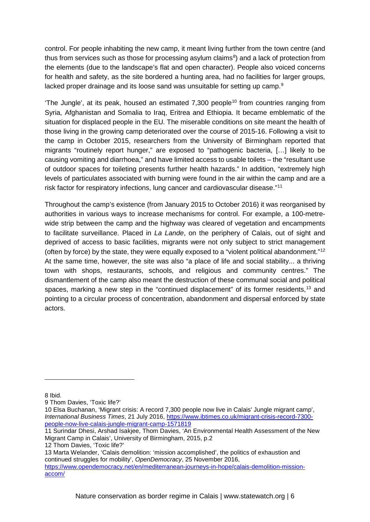control. For people inhabiting the new camp, it meant living further from the town centre (and thus from services such as those for processing asylum claims $\delta$ ) and a lack of protection from the elements (due to the landscape's flat and open character). People also voiced concerns for health and safety, as the site bordered a hunting area, had no facilities for larger groups, lacked proper drainage and its loose sand was unsuitable for setting up camp.<sup>9</sup>

'The Jungle', at its peak, housed an estimated  $7,300$  people<sup>10</sup> from countries ranging from Syria, Afghanistan and Somalia to Iraq, Eritrea and Ethiopia. It became emblematic of the situation for displaced people in the EU. The miserable conditions on site meant the health of those living in the growing camp deteriorated over the course of 2015-16. Following a visit to the camp in October 2015, researchers from the University of Birmingham reported that migrants "routinely report hunger," are exposed to "pathogenic bacteria, […] likely to be causing vomiting and diarrhoea," and have limited access to usable toilets – the "resultant use of outdoor spaces for toileting presents further health hazards." In addition, "extremely high levels of particulates associated with burning were found in the air within the camp and are a risk factor for respiratory infections, lung cancer and cardiovascular disease."11

Throughout the camp's existence (from January 2015 to October 2016) it was reorganised by authorities in various ways to increase mechanisms for control. For example, a 100-metrewide strip between the camp and the highway was cleared of vegetation and encampments to facilitate surveillance. Placed in *La Lande*, on the periphery of Calais, out of sight and deprived of access to basic facilities, migrants were not only subject to strict management (often by force) by the state, they were equally exposed to a "violent political abandonment."12 At the same time, however, the site was also "a place of life and social stability... a thriving town with shops, restaurants, schools, and religious and community centres." The dismantlement of the camp also meant the destruction of these communal social and political spaces, marking a new step in the "continued displacement" of its former residents,<sup>13</sup> and pointing to a circular process of concentration, abandonment and dispersal enforced by state actors.

-

13 Marta Welander, 'Calais demolition: 'mission accomplished', the politics of exhaustion and continued struggles for mobility', *OpenDemocracy*, 25 November 2016, https://www.opendemocracy.net/en/mediterranean-journeys-in-hope/calais-demolition-mission-

<sup>8</sup> Ibid.

<sup>9</sup> Thom Davies, 'Toxic life?'

<sup>10</sup> Elsa Buchanan, 'Migrant crisis: A record 7,300 people now live in Calais' Jungle migrant camp', *International Business Times*, 21 July 2016, https://www.ibtimes.co.uk/migrant-crisis-record-7300 people-now-live-calais-jungle-migrant-camp-1571819

<sup>11</sup> Surindar Dhesi, Arshad Isakjee, Thom Davies, 'An Environmental Health Assessment of the New Migrant Camp in Calais', University of Birmingham, 2015, p.2

<sup>12</sup> Thom Davies, 'Toxic life?'

accom/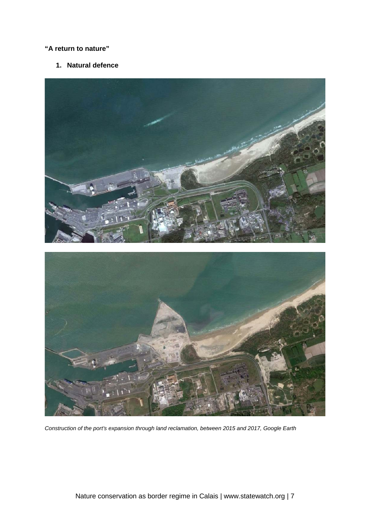## **"A return to nature"**

**1. Natural defence**



*Construction of the port's expansion through land reclamation, between 2015 and 2017, Google Earth*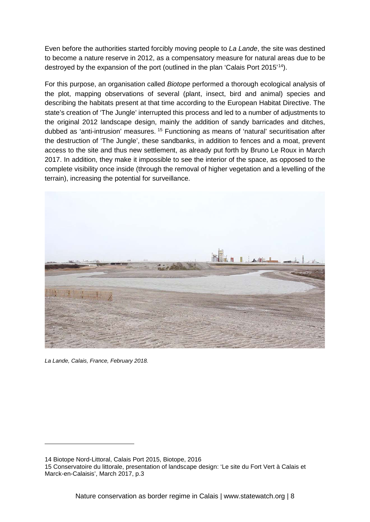Even before the authorities started forcibly moving people to *La Lande*, the site was destined to become a nature reserve in 2012, as a compensatory measure for natural areas due to be destroyed by the expansion of the port (outlined in the plan 'Calais Port 2015'14).

For this purpose, an organisation called *Biotope* performed a thorough ecological analysis of the plot, mapping observations of several (plant, insect, bird and animal) species and describing the habitats present at that time according to the European Habitat Directive. The state's creation of 'The Jungle' interrupted this process and led to a number of adjustments to the original 2012 landscape design, mainly the addition of sandy barricades and ditches, dubbed as 'anti-intrusion' measures. <sup>15</sup> Functioning as means of 'natural' securitisation after the destruction of 'The Jungle', these sandbanks, in addition to fences and a moat, prevent access to the site and thus new settlement, as already put forth by Bruno Le Roux in March 2017. In addition, they make it impossible to see the interior of the space, as opposed to the complete visibility once inside (through the removal of higher vegetation and a levelling of the terrain), increasing the potential for surveillance.



*La Lande, Calais, France, February 2018.*

-

14 Biotope Nord-Littoral, Calais Port 2015, Biotope, 2016

<sup>15</sup> Conservatoire du littorale, presentation of landscape design: 'Le site du Fort Vert à Calais et Marck-en-Calaisis', March 2017, p.3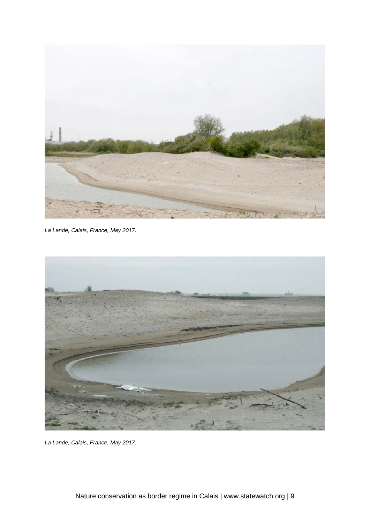

*La Lande, Calais, France, May 2017.*



*La Lande, Calais, France, May 2017.*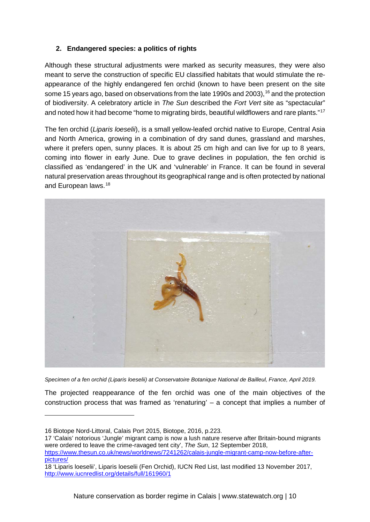## **2. Endangered species: a politics of rights**

Although these structural adjustments were marked as security measures, they were also meant to serve the construction of specific EU classified habitats that would stimulate the reappearance of the highly endangered fen orchid (known to have been present on the site some 15 years ago, based on observations from the late 1990s and 2003), <sup>16</sup> and the protection of biodiversity. A celebratory article in *The Sun* described the *Fort Vert* site as "spectacular" and noted how it had become "home to migrating birds, beautiful wildflowers and rare plants."17

The fen orchid (*Liparis loeselii*), is a small yellow-leafed orchid native to Europe, Central Asia and North America, growing in a combination of dry sand dunes, grassland and marshes, where it prefers open, sunny places. It is about 25 cm high and can live for up to 8 years, coming into flower in early June. Due to grave declines in population, the fen orchid is classified as 'endangered' in the UK and 'vulnerable' in France. It can be found in several natural preservation areas throughout its geographical range and is often protected by national and European laws.18



*Specimen of a fen orchid (Liparis loeselii) at Conservatoire Botanique National de Bailleul, France, April 2019.*

The projected reappearance of the fen orchid was one of the main objectives of the construction process that was framed as 'renaturing' – a concept that implies a number of

-

17 'Calais' notorious 'Jungle' migrant camp is now a lush nature reserve after Britain-bound migrants were ordered to leave the crime-ravaged tent city', *The Sun*, 12 September 2018, https://www.thesun.co.uk/news/worldnews/7241262/calais-jungle-migrant-camp-now-before-afterpictures/

<sup>16</sup> Biotope Nord-Littoral, Calais Port 2015, Biotope, 2016, p.223.

<sup>18 &#</sup>x27;Liparis loeselii', Liparis loeselii (Fen Orchid), IUCN Red List, last modified 13 November 2017, http://www.iucnredlist.org/details/full/161960/1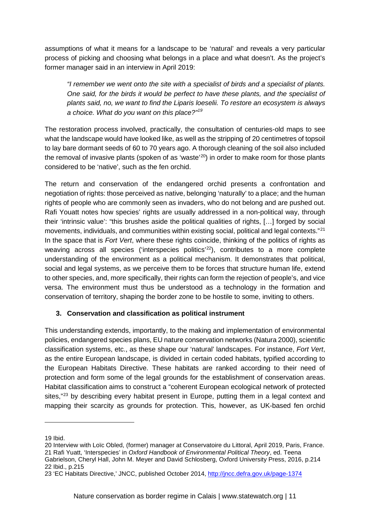assumptions of what it means for a landscape to be 'natural' and reveals a very particular process of picking and choosing what belongs in a place and what doesn't. As the project's former manager said in an interview in April 2019:

*"I remember we went onto the site with a specialist of birds and a specialist of plants. One said, for the birds it would be perfect to have these plants, and the specialist of plants said, no, we want to find the Liparis loeselii. To restore an ecosystem is always a choice. What do you want on this place?" 19*

The restoration process involved, practically, the consultation of centuries-old maps to see what the landscape would have looked like, as well as the stripping of 20 centimetres of topsoil to lay bare dormant seeds of 60 to 70 years ago. A thorough cleaning of the soil also included the removal of invasive plants (spoken of as 'waste'<sup>20</sup>) in order to make room for those plants considered to be 'native', such as the fen orchid.

The return and conservation of the endangered orchid presents a confrontation and negotiation of rights: those perceived as native, belonging 'naturally' to a place; and the human rights of people who are commonly seen as invaders, who do not belong and are pushed out. Rafi Youatt notes how species' rights are usually addressed in a non-political way, through their 'intrinsic value': "this brushes aside the political qualities of rights, […] forged by social movements, individuals, and communities within existing social, political and legal contexts."21 In the space that is *Fort Vert*, where these rights coincide, thinking of the politics of rights as weaving across all species ('interspecies politics'<sup>22</sup>), contributes to a more complete understanding of the environment as a political mechanism. It demonstrates that political, social and legal systems, as we perceive them to be forces that structure human life, extend to other species, and, more specifically, their rights can form the rejection of people's, and vice versa. The environment must thus be understood as a technology in the formation and conservation of territory, shaping the border zone to be hostile to some, inviting to others.

## **3. Conservation and classification as political instrument**

This understanding extends, importantly, to the making and implementation of environmental policies, endangered species plans, EU nature conservation networks (Natura 2000), scientific classification systems, etc., as these shape our 'natural' landscapes. For instance, *Fort Vert*, as the entire European landscape, is divided in certain coded habitats, typified according to the European Habitats Directive. These habitats are ranked according to their need of protection and form some of the legal grounds for the establishment of conservation areas. Habitat classification aims to construct a "coherent European ecological network of protected sites,"<sup>23</sup> by describing every habitat present in Europe, putting them in a legal context and mapping their scarcity as grounds for protection. This, however, as UK-based fen orchid

-

<sup>19</sup> Ibid.

<sup>20</sup> Interview with Loïc Obled, (former) manager at Conservatoire du Littoral, April 2019, Paris, France. 21 Rafi Yuatt, 'Interspecies' in *Oxford Handbook of Environmental Political Theory*, ed. Teena

Gabrielson, Cheryl Hall, John M. Meyer and David Schlosberg, Oxford University Press, 2016, p.214 22 Ibid., p.215

<sup>23 &#</sup>x27;EC Habitats Directive,' JNCC, published October 2014, http://jncc.defra.gov.uk/page-1374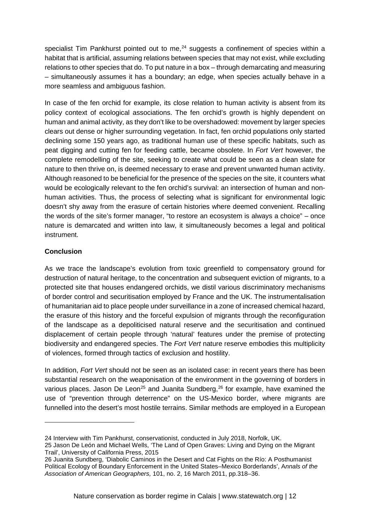specialist Tim Pankhurst pointed out to me, $^{24}$  suggests a confinement of species within a habitat that is artificial, assuming relations between species that may not exist, while excluding relations to other species that do. To put nature in a box – through demarcating and measuring – simultaneously assumes it has a boundary; an edge, when species actually behave in a more seamless and ambiguous fashion.

In case of the fen orchid for example, its close relation to human activity is absent from its policy context of ecological associations. The fen orchid's growth is highly dependent on human and animal activity, as they don't like to be overshadowed: movement by larger species clears out dense or higher surrounding vegetation. In fact, fen orchid populations only started declining some 150 years ago, as traditional human use of these specific habitats, such as peat digging and cutting fen for feeding cattle, became obsolete. In *Fort Vert* however, the complete remodelling of the site, seeking to create what could be seen as a clean slate for nature to then thrive on, is deemed necessary to erase and prevent unwanted human activity. Although reasoned to be beneficial for the presence of the species on the site, it counters what would be ecologically relevant to the fen orchid's survival: an intersection of human and nonhuman activities. Thus, the process of selecting what is significant for environmental logic doesn't shy away from the erasure of certain histories where deemed convenient. Recalling the words of the site's former manager, "to restore an ecosystem is always a choice" – once nature is demarcated and written into law, it simultaneously becomes a legal and political instrument.

## **Conclusion**

-

As we trace the landscape's evolution from toxic greenfield to compensatory ground for destruction of natural heritage, to the concentration and subsequent eviction of migrants, to a protected site that houses endangered orchids, we distil various discriminatory mechanisms of border control and securitisation employed by France and the UK. The instrumentalisation of humanitarian aid to place people under surveillance in a zone of increased chemical hazard, the erasure of this history and the forceful expulsion of migrants through the reconfiguration of the landscape as a depoliticised natural reserve and the securitisation and continued displacement of certain people through 'natural' features under the premise of protecting biodiversity and endangered species. The *Fort Vert* nature reserve embodies this multiplicity of violences, formed through tactics of exclusion and hostility.

In addition, *Fort Vert* should not be seen as an isolated case: in recent years there has been substantial research on the weaponisation of the environment in the governing of borders in various places. Jason De Leon<sup>25</sup> and Juanita Sundberg,  $26$  for example, have examined the use of "prevention through deterrence" on the US-Mexico border, where migrants are funnelled into the desert's most hostile terrains. Similar methods are employed in a European

<sup>24</sup> Interview with Tim Pankhurst, conservationist, conducted in July 2018, Norfolk, UK.

<sup>25</sup> Jason De Leó n and Michael Wells, 'The Land of Open Graves: Living and Dying on the Migrant Trail', University of California Press, 2015

<sup>26</sup> Juanita Sundberg, 'Diabolic Caminos in the Desert and Cat Fights on the Río: A Posthumanist Political Ecology of Boundary Enforcement in the United States–Mexico Borderlands', A*nnals of the Association of American Geographers,* 101, no. 2, 16 March 2011, pp.318–36.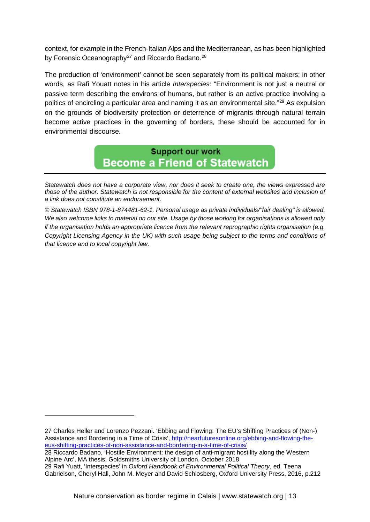context, for example in the French-Italian Alps and the Mediterranean, as has been highlighted by Forensic Oceanography<sup>27</sup> and Riccardo Badano.<sup>28</sup>

The production of 'environment' cannot be seen separately from its political makers; in other words, as Rafi Youatt notes in his article *Interspecies*: "Environment is not just a neutral or passive term describing the environs of humans, but rather is an active practice involving a politics of encircling a particular area and naming it as an environmental site."29 As expulsion on the grounds of biodiversity protection or deterrence of migrants through natural terrain become active practices in the governing of borders, these should be accounted for in environmental discourse.

> **Support our work Become a Friend of Statewatch**

*Statewatch does not have a corporate view, nor does it seek to create one, the views expressed are those of the author. Statewatch is not responsible for the content of external websites and inclusion of a link does not constitute an endorsement.*

*© Statewatch ISBN 978-1-874481-62-1. Personal usage as private individuals/"fair dealing" is allowed. We also welcome links to material on our site. Usage by those working for organisations is allowed only if the organisation holds an appropriate licence from the relevant reprographic rights organisation (e.g. Copyright Licensing Agency in the UK) with such usage being subject to the terms and conditions of that licence and to local copyright law.*

27 Charles Heller and Lorenzo Pezzani. 'Ebbing and Flowing: The EU's Shifting Practices of (Non-) Assistance and Bordering in a Time of Crisis', http://nearfuturesonline.org/ebbing-and-flowing-theeus-shifting-practices-of-non-assistance-and-bordering-in-a-time-of-crisis/ 28 Riccardo Badano, 'Hostile Environment: the design of anti-migrant hostility along the Western Alpine Arc', MA thesis, Goldsmiths University of London, October 2018

-

29 Rafi Yuatt, 'Interspecies' in *Oxford Handbook of Environmental Political Theory*, ed. Teena Gabrielson, Cheryl Hall, John M. Meyer and David Schlosberg, Oxford University Press, 2016, p.212